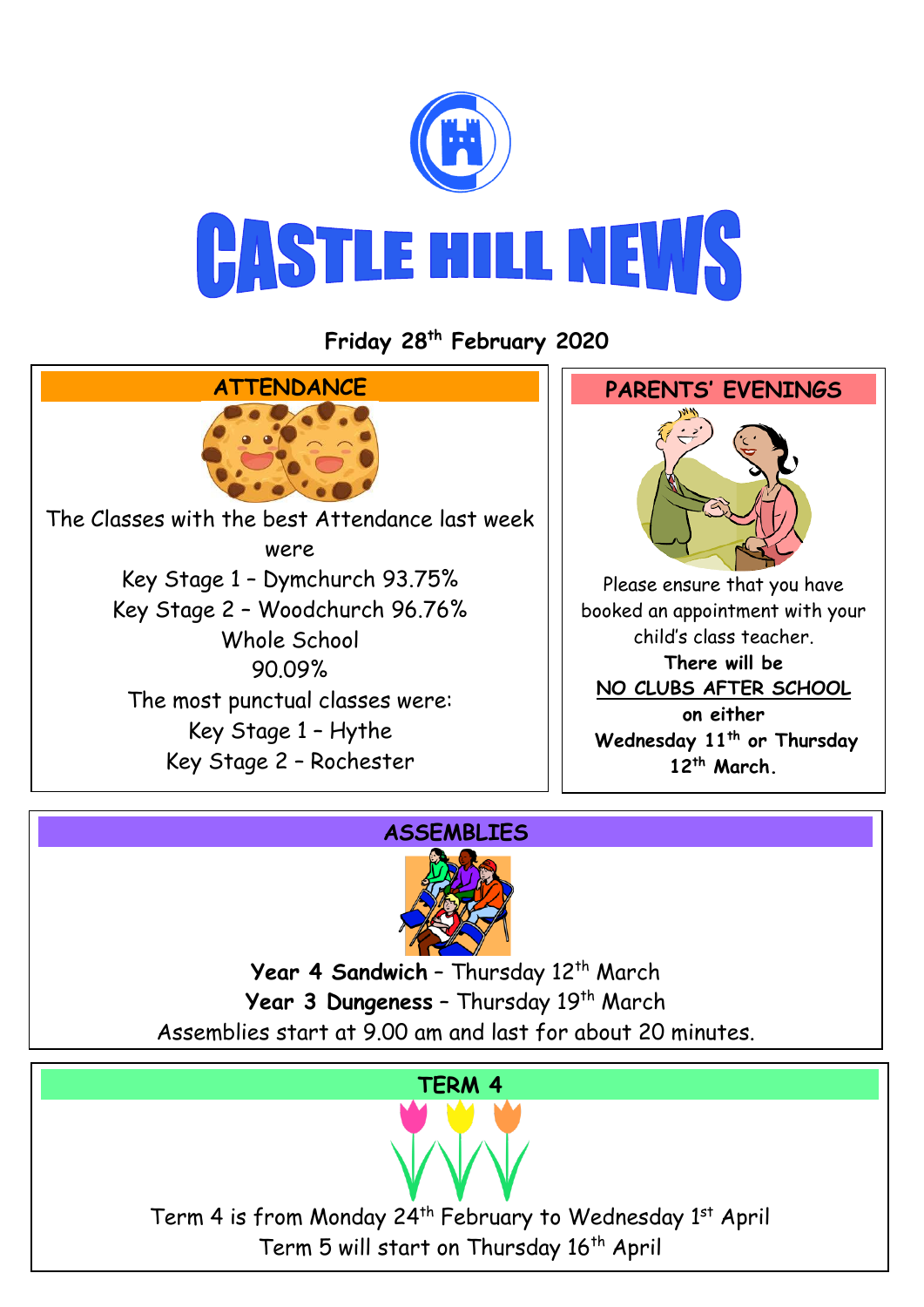

**Friday 28th February 2020**



## **ASSEMBLIES**



Year 4 Sandwich - Thursday 12<sup>th</sup> March Year 3 Dungeness - Thursday 19<sup>th</sup> March Assemblies start at 9.00 am and last for about 20 minutes.

#### **TERM 4**

Term 4 is from Monday 24<sup>th</sup> February to Wednesday 1<sup>st</sup> April Term 5 will start on Thursday 16<sup>th</sup> April